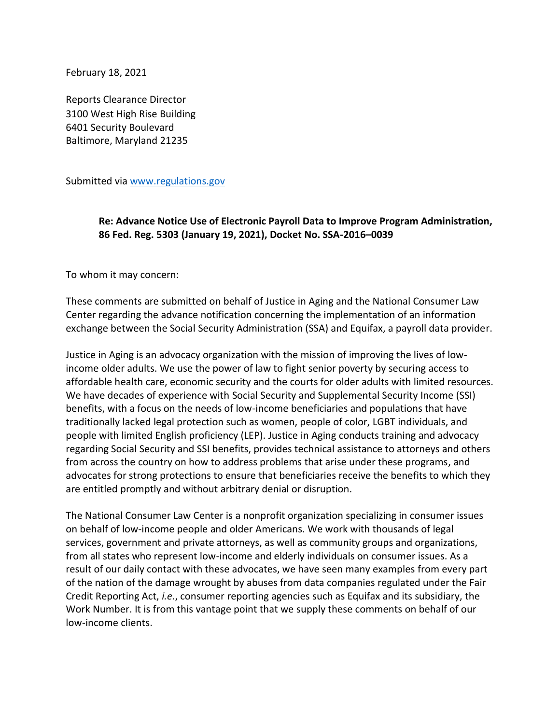February 18, 2021

Reports Clearance Director 3100 West High Rise Building 6401 Security Boulevard Baltimore, Maryland 21235

Submitted via [www.regulations.gov](http://www.regulations.gov/)

## **Re: Advance Notice Use of Electronic Payroll Data to Improve Program Administration, 86 Fed. Reg. 5303 (January 19, 2021), Docket No. SSA-2016–0039**

To whom it may concern:

These comments are submitted on behalf of Justice in Aging and the National Consumer Law Center regarding the advance notification concerning the implementation of an information exchange between the Social Security Administration (SSA) and Equifax, a payroll data provider.

Justice in Aging is an advocacy organization with the mission of improving the lives of lowincome older adults. We use the power of law to fight senior poverty by securing access to affordable health care, economic security and the courts for older adults with limited resources. We have decades of experience with Social Security and Supplemental Security Income (SSI) benefits, with a focus on the needs of low-income beneficiaries and populations that have traditionally lacked legal protection such as women, people of color, LGBT individuals, and people with limited English proficiency (LEP). Justice in Aging conducts training and advocacy regarding Social Security and SSI benefits, provides technical assistance to attorneys and others from across the country on how to address problems that arise under these programs, and advocates for strong protections to ensure that beneficiaries receive the benefits to which they are entitled promptly and without arbitrary denial or disruption.

The National Consumer Law Center is a nonprofit organization specializing in consumer issues on behalf of low-income people and older Americans. We work with thousands of legal services, government and private attorneys, as well as community groups and organizations, from all states who represent low-income and elderly individuals on consumer issues. As a result of our daily contact with these advocates, we have seen many examples from every part of the nation of the damage wrought by abuses from data companies regulated under the Fair Credit Reporting Act, *i.e.*, consumer reporting agencies such as Equifax and its subsidiary, the Work Number. It is from this vantage point that we supply these comments on behalf of our low-income clients.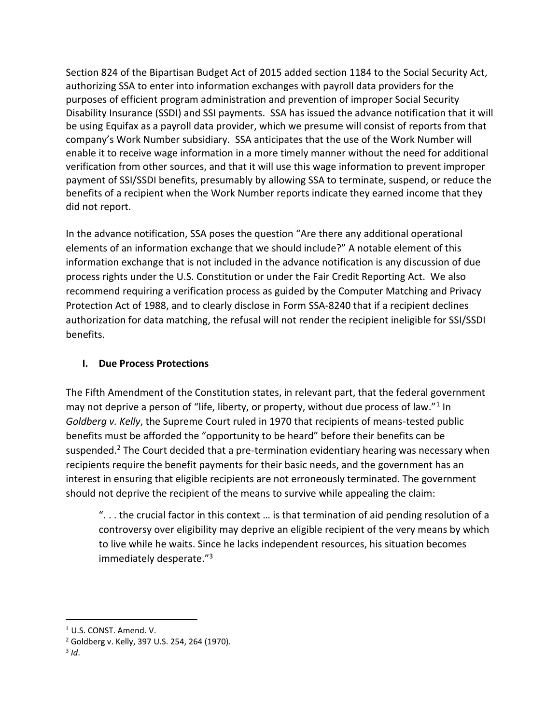Section 824 of the Bipartisan Budget Act of 2015 added section 1184 to the Social Security Act, authorizing SSA to enter into information exchanges with payroll data providers for the purposes of efficient program administration and prevention of improper Social Security Disability Insurance (SSDI) and SSI payments. SSA has issued the advance notification that it will be using Equifax as a payroll data provider, which we presume will consist of reports from that company's Work Number subsidiary. SSA anticipates that the use of the Work Number will enable it to receive wage information in a more timely manner without the need for additional verification from other sources, and that it will use this wage information to prevent improper payment of SSI/SSDI benefits, presumably by allowing SSA to terminate, suspend, or reduce the benefits of a recipient when the Work Number reports indicate they earned income that they did not report.

In the advance notification, SSA poses the question "Are there any additional operational elements of an information exchange that we should include?" A notable element of this information exchange that is not included in the advance notification is any discussion of due process rights under the U.S. Constitution or under the Fair Credit Reporting Act. We also recommend requiring a verification process as guided by the Computer Matching and Privacy Protection Act of 1988, and to clearly disclose in Form SSA-8240 that if a recipient declines authorization for data matching, the refusal will not render the recipient ineligible for SSI/SSDI benefits.

## **I. Due Process Protections**

The Fifth Amendment of the Constitution states, in relevant part, that the federal government may not deprive a person of "life, liberty, or property, without due process of law."<sup>1</sup> In *Goldberg v. Kelly*, the Supreme Court ruled in 1970 that recipients of means-tested public benefits must be afforded the "opportunity to be heard" before their benefits can be suspended.<sup>2</sup> The Court decided that a pre-termination evidentiary hearing was necessary when recipients require the benefit payments for their basic needs, and the government has an interest in ensuring that eligible recipients are not erroneously terminated. The government should not deprive the recipient of the means to survive while appealing the claim:

". . . the crucial factor in this context … is that termination of aid pending resolution of a controversy over eligibility may deprive an eligible recipient of the very means by which to live while he waits. Since he lacks independent resources, his situation becomes immediately desperate."<sup>3</sup>

<sup>1</sup> U.S. CONST. Amend. V.

<sup>2</sup> Goldberg v. Kelly, 397 U.S. 254, 264 (1970).

<sup>3</sup> *Id*.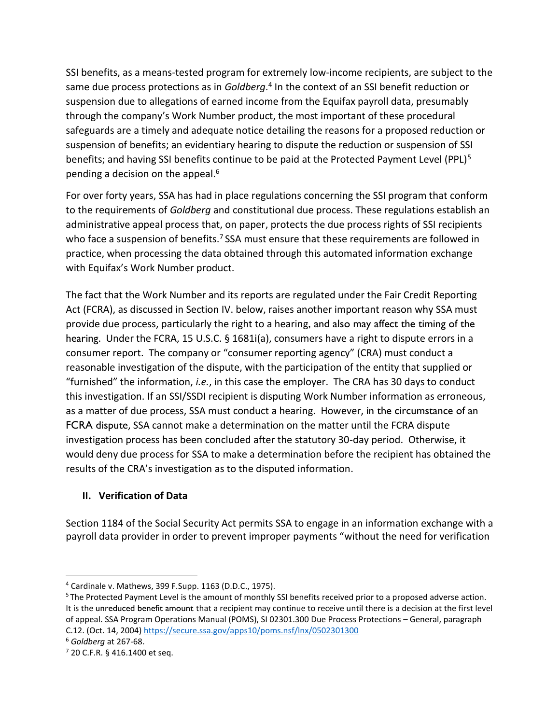SSI benefits, as a means-tested program for extremely low-income recipients, are subject to the same due process protections as in *Goldberg*. 4 In the context of an SSI benefit reduction or suspension due to allegations of earned income from the Equifax payroll data, presumably through the company's Work Number product, the most important of these procedural safeguards are a timely and adequate notice detailing the reasons for a proposed reduction or suspension of benefits; an evidentiary hearing to dispute the reduction or suspension of SSI benefits; and having SSI benefits continue to be paid at the Protected Payment Level (PPL)<sup>5</sup> pending a decision on the appeal.<sup>6</sup>

For over forty years, SSA has had in place regulations concerning the SSI program that conform to the requirements of *Goldberg* and constitutional due process. These regulations establish an administrative appeal process that, on paper, protects the due process rights of SSI recipients who face a suspension of benefits.<sup>7</sup> SSA must ensure that these requirements are followed in practice, when processing the data obtained through this automated information exchange with Equifax's Work Number product.

The fact that the Work Number and its reports are regulated under the Fair Credit Reporting Act (FCRA), as discussed in Section IV. below, raises another important reason why SSA must provide due process, particularly the right to a hearing, and also may affect the timing of the hearing. Under the FCRA, 15 U.S.C. § 1681i(a), consumers have a right to dispute errors in a consumer report. The company or "consumer reporting agency" (CRA) must conduct a reasonable investigation of the dispute, with the participation of the entity that supplied or "furnished" the information, *i.e.*, in this case the employer. The CRA has 30 days to conduct this investigation. If an SSI/SSDI recipient is disputing Work Number information as erroneous, as a matter of due process, SSA must conduct a hearing. However, in the circumstance of an FCRA dispute, SSA cannot make a determination on the matter until the FCRA dispute investigation process has been concluded after the statutory 30-day period. Otherwise, it would deny due process for SSA to make a determination before the recipient has obtained the results of the CRA's investigation as to the disputed information.

# **II. Verification of Data**

Section 1184 of the Social Security Act permits SSA to engage in an information exchange with a payroll data provider in order to prevent improper payments "without the need for verification

<sup>4</sup> Cardinale v. Mathews, 399 F.Supp. 1163 (D.D.C., 1975).

<sup>5</sup> The Protected Payment Level is the amount of monthly SSI benefits received prior to a proposed adverse action. It is the unreduced benefit amount that a recipient may continue to receive until there is a decision at the first level of appeal. SSA Program Operations Manual (POMS), SI 02301.300 Due Process Protections – General, paragraph C.12. (Oct. 14, 2004) <https://secure.ssa.gov/apps10/poms.nsf/lnx/0502301300>

<sup>6</sup> *Goldberg* at 267-68.

<sup>7</sup> 20 C.F.R. § 416.1400 et seq.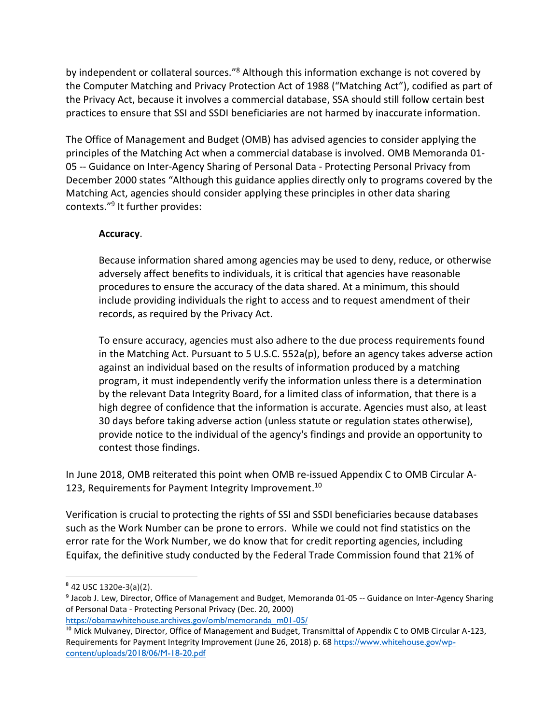by independent or collateral sources."<sup>8</sup> Although this information exchange is not covered by the Computer Matching and Privacy Protection Act of 1988 ("Matching Act"), codified as part of the Privacy Act, because it involves a commercial database, SSA should still follow certain best practices to ensure that SSI and SSDI beneficiaries are not harmed by inaccurate information.

The Office of Management and Budget (OMB) has advised agencies to consider applying the principles of the Matching Act when a commercial database is involved. OMB Memoranda 01- 05 -- Guidance on Inter-Agency Sharing of Personal Data - Protecting Personal Privacy from December 2000 states "Although this guidance applies directly only to programs covered by the Matching Act, agencies should consider applying these principles in other data sharing contexts."<sup>9</sup> It further provides:

## **Accuracy**.

Because information shared among agencies may be used to deny, reduce, or otherwise adversely affect benefits to individuals, it is critical that agencies have reasonable procedures to ensure the accuracy of the data shared. At a minimum, this should include providing individuals the right to access and to request amendment of their records, as required by the Privacy Act.

To ensure accuracy, agencies must also adhere to the due process requirements found in the Matching Act. Pursuant to 5 U.S.C. 552a(p), before an agency takes adverse action against an individual based on the results of information produced by a matching program, it must independently verify the information unless there is a determination by the relevant Data Integrity Board, for a limited class of information, that there is a high degree of confidence that the information is accurate. Agencies must also, at least 30 days before taking adverse action (unless statute or regulation states otherwise), provide notice to the individual of the agency's findings and provide an opportunity to contest those findings.

In June 2018, OMB reiterated this point when OMB re-issued Appendix C to OMB Circular A-123, Requirements for Payment Integrity Improvement.<sup>10</sup>

Verification is crucial to protecting the rights of SSI and SSDI beneficiaries because databases such as the Work Number can be prone to errors. While we could not find statistics on the error rate for the Work Number, we do know that for credit reporting agencies, including Equifax, the definitive study conducted by the Federal Trade Commission found that 21% of

[https://obamawhitehouse.archives.gov/omb/memoranda\\_m01-05/](https://obamawhitehouse.archives.gov/omb/memoranda_m01-05/)

<sup>&</sup>lt;sup>8</sup> 42 USC 1320e-3(a)(2).

<sup>&</sup>lt;sup>9</sup> Jacob J. Lew, Director, Office of Management and Budget, Memoranda 01-05 -- Guidance on Inter-Agency Sharing of Personal Data - Protecting Personal Privacy (Dec. 20, 2000)

<sup>&</sup>lt;sup>10</sup> Mick Mulvaney, Director, Office of Management and Budget, Transmittal of Appendix C to OMB Circular A-123, Requirements for Payment Integrity Improvement (June 26, 2018) p. 68 [https://www.whitehouse.gov/wp](https://www.whitehouse.gov/wp-content/uploads/2018/06/M-18-20.pdf)[content/uploads/2018/06/M-18-20.pdf](https://www.whitehouse.gov/wp-content/uploads/2018/06/M-18-20.pdf)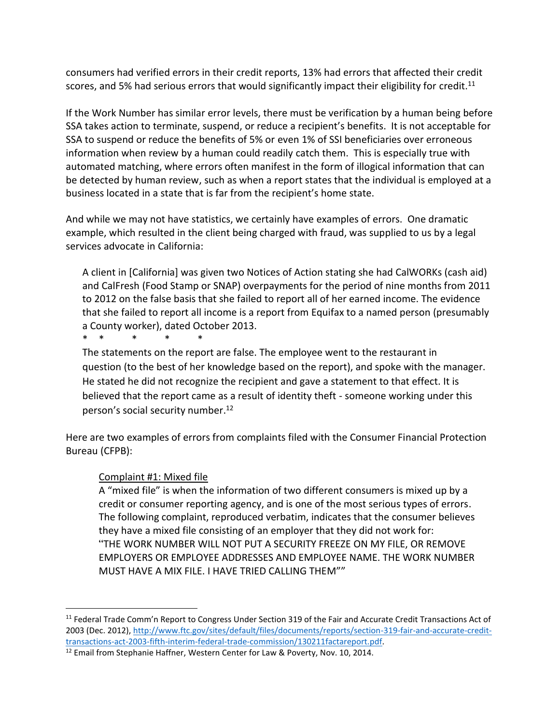consumers had verified errors in their credit reports, 13% had errors that affected their credit scores, and 5% had serious errors that would significantly impact their eligibility for credit.<sup>11</sup>

If the Work Number has similar error levels, there must be verification by a human being before SSA takes action to terminate, suspend, or reduce a recipient's benefits. It is not acceptable for SSA to suspend or reduce the benefits of 5% or even 1% of SSI beneficiaries over erroneous information when review by a human could readily catch them. This is especially true with automated matching, where errors often manifest in the form of illogical information that can be detected by human review, such as when a report states that the individual is employed at a business located in a state that is far from the recipient's home state.

And while we may not have statistics, we certainly have examples of errors. One dramatic example, which resulted in the client being charged with fraud, was supplied to us by a legal services advocate in California:

A client in [California] was given two Notices of Action stating she had CalWORKs (cash aid) and CalFresh (Food Stamp or SNAP) overpayments for the period of nine months from 2011 to 2012 on the false basis that she failed to report all of her earned income. The evidence that she failed to report all income is a report from Equifax to a named person (presumably a County worker), dated October 2013.

\* \* \* \* \*

The statements on the report are false. The employee went to the restaurant in question (to the best of her knowledge based on the report), and spoke with the manager. He stated he did not recognize the recipient and gave a statement to that effect. It is believed that the report came as a result of identity theft - someone working under this person's social security number. 12

Here are two examples of errors from complaints filed with the Consumer Financial Protection Bureau (CFPB):

#### Complaint #1: Mixed file

A "mixed file" is when the information of two different consumers is mixed up by a credit or consumer reporting agency, and is one of the most serious types of errors. The following complaint, reproduced verbatim, indicates that the consumer believes they have a mixed file consisting of an employer that they did not work for: "THE WORK NUMBER WILL NOT PUT A SECURITY FREEZE ON MY FILE, OR REMOVE EMPLOYERS OR EMPLOYEE ADDRESSES AND EMPLOYEE NAME. THE WORK NUMBER MUST HAVE A MIX FILE. I HAVE TRIED CALLING THEM""

<sup>&</sup>lt;sup>11</sup> Federal Trade Comm'n Report to Congress Under Section 319 of the Fair and Accurate Credit Transactions Act of 2003 (Dec. 2012), [http://www.ftc.gov/sites/default/files/documents/reports/section-319-fair-and-accurate-credit](http://www.ftc.gov/sites/default/files/documents/reports/section-319-fair-and-accurate-credit-transactions-act-2003-fifth-interim-federal-trade-commission/130211factareport.pdf)[transactions-act-2003-fifth-interim-federal-trade-commission/130211factareport.pdf.](http://www.ftc.gov/sites/default/files/documents/reports/section-319-fair-and-accurate-credit-transactions-act-2003-fifth-interim-federal-trade-commission/130211factareport.pdf)

<sup>&</sup>lt;sup>12</sup> Email from Stephanie Haffner, Western Center for Law & Poverty, Nov. 10, 2014.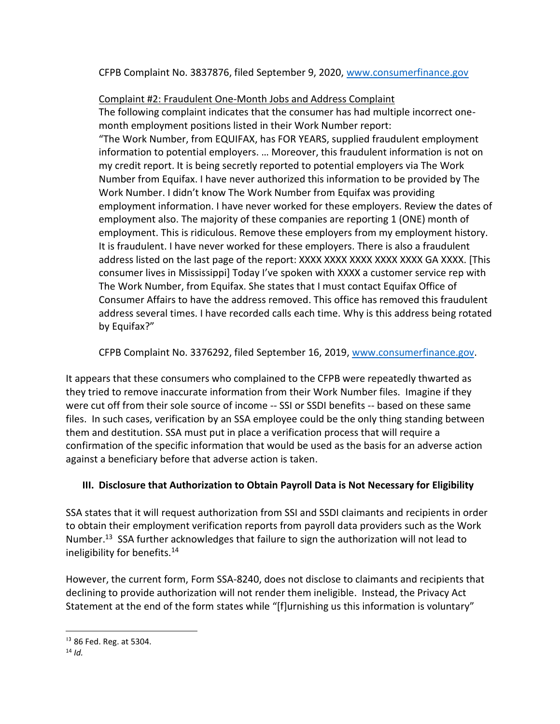CFPB Complaint No. 3837876, filed September 9, 2020, [www.consumerfinance.gov](https://www.consumerfinance.gov/data-research/consumer-complaints/search/?date_received_max=2021-02-15&date_received_min=2018-02-15&page=1&searchField=all&searchText=3837876&size=25&sort=created_date_desc&tab=List)

## Complaint #2: Fraudulent One-Month Jobs and Address Complaint

The following complaint indicates that the consumer has had multiple incorrect onemonth employment positions listed in their Work Number report: "The Work Number, from EQUIFAX, has FOR YEARS, supplied fraudulent employment information to potential employers. … Moreover, this fraudulent information is not on my credit report. It is being secretly reported to potential employers via The Work Number from Equifax. I have never authorized this information to be provided by The Work Number. I didn't know The Work Number from Equifax was providing employment information. I have never worked for these employers. Review the dates of employment also. The majority of these companies are reporting 1 (ONE) month of employment. This is ridiculous. Remove these employers from my employment history. It is fraudulent. I have never worked for these employers. There is also a fraudulent address listed on the last page of the report: XXXX XXXX XXXX XXXX XXXX GA XXXX. [This consumer lives in Mississippi] Today I've spoken with XXXX a customer service rep with The Work Number, from Equifax. She states that I must contact Equifax Office of Consumer Affairs to have the address removed. This office has removed this fraudulent address several times. I have recorded calls each time. Why is this address being rotated by Equifax?"

CFPB Complaint No. 3376292, filed September 16, 2019, [www.consumerfinance.gov.](https://www.consumerfinance.gov/data-research/consumer-complaints/search/?date_received_max=2021-02-15&date_received_min=2018-02-15&page=1&searchField=all&searchText=3376292&size=25&sort=created_date_desc&tab=List)

It appears that these consumers who complained to the CFPB were repeatedly thwarted as they tried to remove inaccurate information from their Work Number files. Imagine if they were cut off from their sole source of income -- SSI or SSDI benefits -- based on these same files. In such cases, verification by an SSA employee could be the only thing standing between them and destitution. SSA must put in place a verification process that will require a confirmation of the specific information that would be used as the basis for an adverse action against a beneficiary before that adverse action is taken.

# **III. Disclosure that Authorization to Obtain Payroll Data is Not Necessary for Eligibility**

SSA states that it will request authorization from SSI and SSDI claimants and recipients in order to obtain their employment verification reports from payroll data providers such as the Work Number.<sup>13</sup> SSA further acknowledges that failure to sign the authorization will not lead to ineligibility for benefits.<sup>14</sup>

However, the current form, Form SSA-8240, does not disclose to claimants and recipients that declining to provide authorization will not render them ineligible. Instead, the Privacy Act Statement at the end of the form states while "[f]urnishing us this information is voluntary"

<sup>13</sup> 86 Fed. Reg. at 5304.

 $14$  *Id*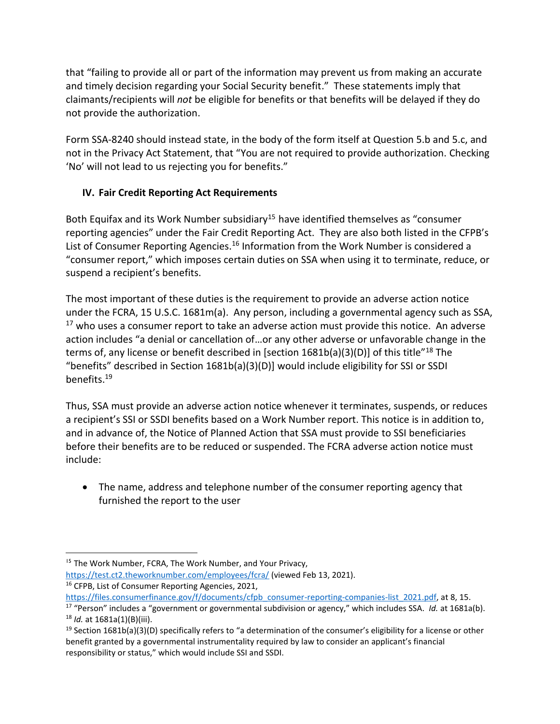that "failing to provide all or part of the information may prevent us from making an accurate and timely decision regarding your Social Security benefit." These statements imply that claimants/recipients will *not* be eligible for benefits or that benefits will be delayed if they do not provide the authorization.

Form SSA-8240 should instead state, in the body of the form itself at Question 5.b and 5.c, and not in the Privacy Act Statement, that "You are not required to provide authorization. Checking 'No' will not lead to us rejecting you for benefits."

## **IV. Fair Credit Reporting Act Requirements**

Both Equifax and its Work Number subsidiary<sup>15</sup> have identified themselves as "consumer reporting agencies" under the Fair Credit Reporting Act. They are also both listed in the CFPB's List of Consumer Reporting Agencies.<sup>16</sup> Information from the Work Number is considered a "consumer report," which imposes certain duties on SSA when using it to terminate, reduce, or suspend a recipient's benefits.

The most important of these duties is the requirement to provide an adverse action notice under the FCRA, 15 U.S.C. 1681m(a). Any person, including a governmental agency such as SSA,  $17$  who uses a consumer report to take an adverse action must provide this notice. An adverse action includes "a denial or cancellation of…or any other adverse or unfavorable change in the terms of, any license or benefit described in [section 1681b(a)(3)(D)] of this title"<sup>18</sup> The "benefits" described in Section 1681b(a)(3)(D)] would include eligibility for SSI or SSDI benefits. 19

Thus, SSA must provide an adverse action notice whenever it terminates, suspends, or reduces a recipient's SSI or SSDI benefits based on a Work Number report. This notice is in addition to, and in advance of, the Notice of Planned Action that SSA must provide to SSI beneficiaries before their benefits are to be reduced or suspended. The FCRA adverse action notice must include:

• The name, address and telephone number of the consumer reporting agency that furnished the report to the user

<sup>&</sup>lt;sup>15</sup> The Work Number, FCRA, The Work Number, and Your Privacy,

<https://test.ct2.theworknumber.com/employees/fcra/> (viewed Feb 13, 2021). <sup>16</sup> CFPB, List of Consumer Reporting Agencies, 2021,

[https://files.consumerfinance.gov/f/documents/cfpb\\_consumer-reporting-companies-list\\_2021.pdf,](https://files.consumerfinance.gov/f/documents/cfpb_consumer-reporting-companies-list_2021.pdf) at 8, 15.

<sup>17</sup> "Person" includes a "government or governmental subdivision or agency," which includes SSA. *Id.* at 1681a(b). <sup>18</sup> *Id.* at 1681a(1)(B)(iii).

<sup>&</sup>lt;sup>19</sup> Section 1681b(a)(3)(D) specifically refers to "a determination of the consumer's eligibility for a license or other benefit granted by a governmental instrumentality required by law to consider an applicant's financial responsibility or status," which would include SSI and SSDI.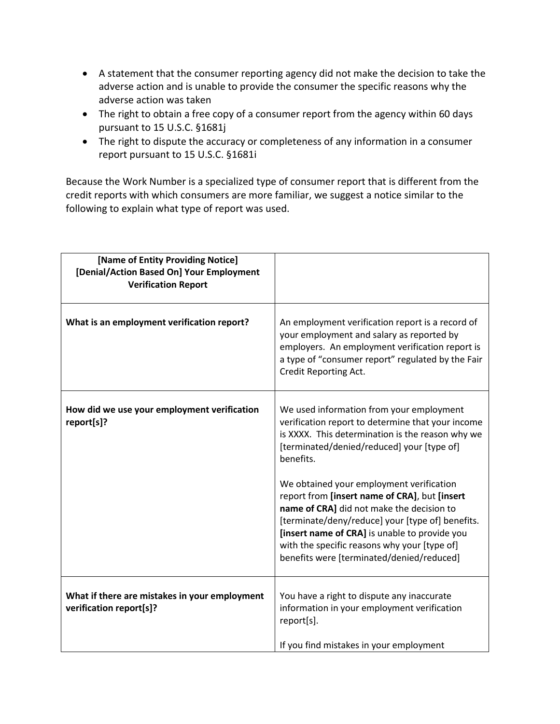- A statement that the consumer reporting agency did not make the decision to take the adverse action and is unable to provide the consumer the specific reasons why the adverse action was taken
- The right to obtain a free copy of a consumer report from the agency within 60 days pursuant to 15 U.S.C. §1681j
- The right to dispute the accuracy or completeness of any information in a consumer report pursuant to 15 U.S.C. §1681i

Because the Work Number is a specialized type of consumer report that is different from the credit reports with which consumers are more familiar, we suggest a notice similar to the following to explain what type of report was used.

| [Name of Entity Providing Notice]<br>[Denial/Action Based On] Your Employment<br><b>Verification Report</b> |                                                                                                                                                                                                                                                                                                                                                                                                                                                                                                                                                          |
|-------------------------------------------------------------------------------------------------------------|----------------------------------------------------------------------------------------------------------------------------------------------------------------------------------------------------------------------------------------------------------------------------------------------------------------------------------------------------------------------------------------------------------------------------------------------------------------------------------------------------------------------------------------------------------|
| What is an employment verification report?                                                                  | An employment verification report is a record of<br>your employment and salary as reported by<br>employers. An employment verification report is<br>a type of "consumer report" regulated by the Fair<br>Credit Reporting Act.                                                                                                                                                                                                                                                                                                                           |
| How did we use your employment verification<br>report[s]?                                                   | We used information from your employment<br>verification report to determine that your income<br>is XXXX. This determination is the reason why we<br>[terminated/denied/reduced] your [type of]<br>benefits.<br>We obtained your employment verification<br>report from [insert name of CRA], but [insert<br>name of CRA] did not make the decision to<br>[terminate/deny/reduce] your [type of] benefits.<br>[insert name of CRA] is unable to provide you<br>with the specific reasons why your [type of]<br>benefits were [terminated/denied/reduced] |
| What if there are mistakes in your employment<br>verification report[s]?                                    | You have a right to dispute any inaccurate<br>information in your employment verification<br>report[s].<br>If you find mistakes in your employment                                                                                                                                                                                                                                                                                                                                                                                                       |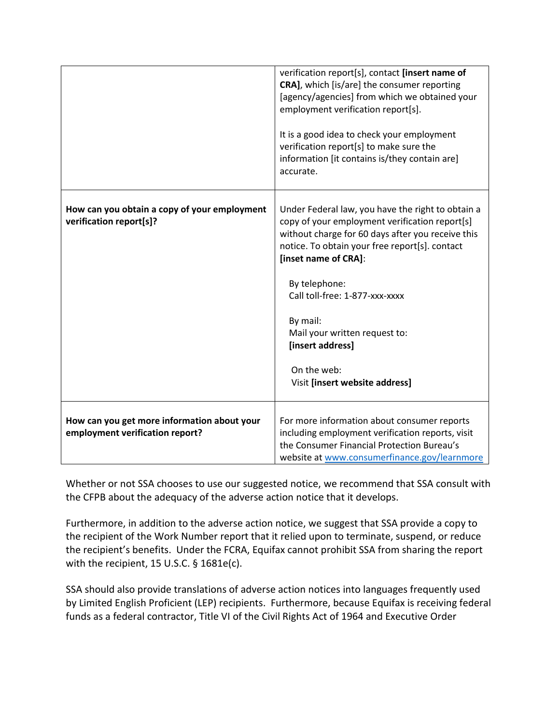|                                                                                | verification report[s], contact [insert name of<br>CRA], which [is/are] the consumer reporting<br>[agency/agencies] from which we obtained your<br>employment verification report[s].<br>It is a good idea to check your employment<br>verification report[s] to make sure the<br>information [it contains is/they contain are]<br>accurate.                                                            |
|--------------------------------------------------------------------------------|---------------------------------------------------------------------------------------------------------------------------------------------------------------------------------------------------------------------------------------------------------------------------------------------------------------------------------------------------------------------------------------------------------|
| How can you obtain a copy of your employment<br>verification report[s]?        | Under Federal law, you have the right to obtain a<br>copy of your employment verification report[s]<br>without charge for 60 days after you receive this<br>notice. To obtain your free report[s]. contact<br>[inset name of CRA]:<br>By telephone:<br>Call toll-free: 1-877-xxx-xxxx<br>By mail:<br>Mail your written request to:<br>[insert address]<br>On the web:<br>Visit [insert website address] |
| How can you get more information about your<br>employment verification report? | For more information about consumer reports<br>including employment verification reports, visit<br>the Consumer Financial Protection Bureau's<br>website at www.consumerfinance.gov/learnmore                                                                                                                                                                                                           |

Whether or not SSA chooses to use our suggested notice, we recommend that SSA consult with the CFPB about the adequacy of the adverse action notice that it develops.

Furthermore, in addition to the adverse action notice, we suggest that SSA provide a copy to the recipient of the Work Number report that it relied upon to terminate, suspend, or reduce the recipient's benefits. Under the FCRA, Equifax cannot prohibit SSA from sharing the report with the recipient, 15 U.S.C. § 1681e(c).

SSA should also provide translations of adverse action notices into languages frequently used by Limited English Proficient (LEP) recipients. Furthermore, because Equifax is receiving federal funds as a federal contractor, Title VI of the Civil Rights Act of 1964 and Executive Order